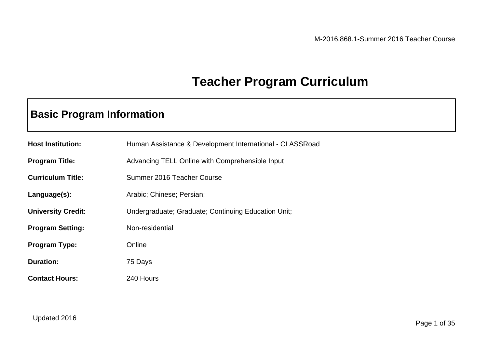### **Teacher Program Curriculum**

### **Basic Program Information**

| <b>Host Institution:</b>  | Human Assistance & Development International - CLASSRoad |  |
|---------------------------|----------------------------------------------------------|--|
| <b>Program Title:</b>     | Advancing TELL Online with Comprehensible Input          |  |
| <b>Curriculum Title:</b>  | Summer 2016 Teacher Course                               |  |
| Language(s):              | Arabic; Chinese; Persian;                                |  |
| <b>University Credit:</b> | Undergraduate; Graduate; Continuing Education Unit;      |  |
| <b>Program Setting:</b>   | Non-residential                                          |  |
| <b>Program Type:</b>      | Online                                                   |  |
| <b>Duration:</b>          | 75 Days                                                  |  |
| <b>Contact Hours:</b>     | 240 Hours                                                |  |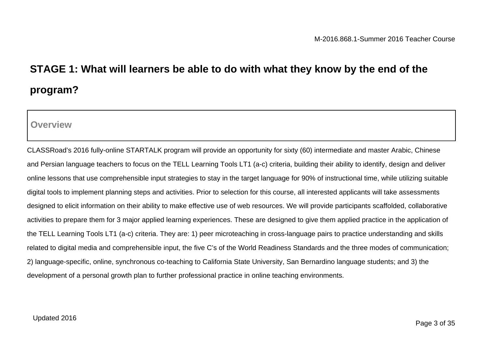# **STAGE 1: What will learners be able to do with what they know by the end of the program?**

**Overview**

CLASSRoad's 2016 fully-online STARTALK program will provide an opportunity for sixty (60) intermediate and master Arabic, Chinese and Persian language teachers to focus on the TELL Learning Tools LT1 (a-c) criteria, building their ability to identify, design and deliver online lessons that use comprehensible input strategies to stay in the target language for 90% of instructional time, while utilizing suitable digital tools to implement planning steps and activities. Prior to selection for this course, all interested applicants will take assessments designed to elicit information on their ability to make effective use of web resources. We will provide participants scaffolded, collaborative activities to prepare them for 3 major applied learning experiences. These are designed to give them applied practice in the application of the TELL Learning Tools LT1 (a-c) criteria. They are: 1) peer microteaching in cross-language pairs to practice understanding and skills related to digital media and comprehensible input, the five C's of the World Readiness Standards and the three modes of communication; 2) language-specific, online, synchronous co-teaching to California State University, San Bernardino language students; and 3) the development of a personal growth plan to further professional practice in online teaching environments.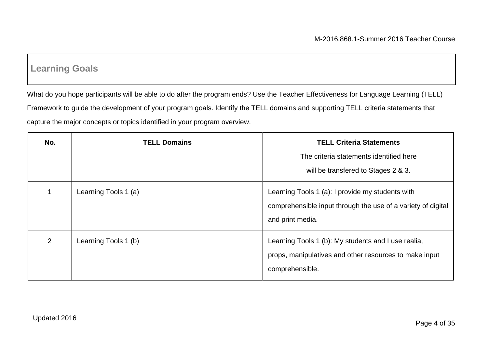### **Learning Goals**

What do you hope participants will be able to do after the program ends? Use the Teacher Effectiveness for Language Learning (TELL) Framework to guide the development of your program goals. Identify the TELL domains and supporting TELL criteria statements that capture the major concepts or topics identified in your program overview.

| No. | <b>TELL Domains</b>  | <b>TELL Criteria Statements</b>                              |
|-----|----------------------|--------------------------------------------------------------|
|     |                      | The criteria statements identified here                      |
|     |                      | will be transfered to Stages 2 & 3.                          |
|     | Learning Tools 1 (a) | Learning Tools 1 (a): I provide my students with             |
|     |                      | comprehensible input through the use of a variety of digital |
|     |                      | and print media.                                             |
| 2   | Learning Tools 1 (b) | Learning Tools 1 (b): My students and I use realia,          |
|     |                      | props, manipulatives and other resources to make input       |
|     |                      | comprehensible.                                              |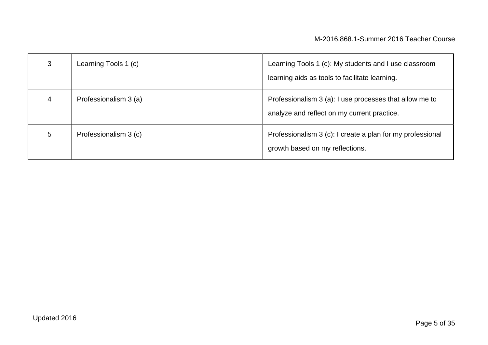| 3 | Learning Tools 1 (c)  | Learning Tools 1 (c): My students and I use classroom<br>learning aids as tools to facilitate learning. |
|---|-----------------------|---------------------------------------------------------------------------------------------------------|
| 4 | Professionalism 3 (a) | Professionalism 3 (a): I use processes that allow me to<br>analyze and reflect on my current practice.  |
| 5 | Professionalism 3 (c) | Professionalism 3 (c): I create a plan for my professional<br>growth based on my reflections.           |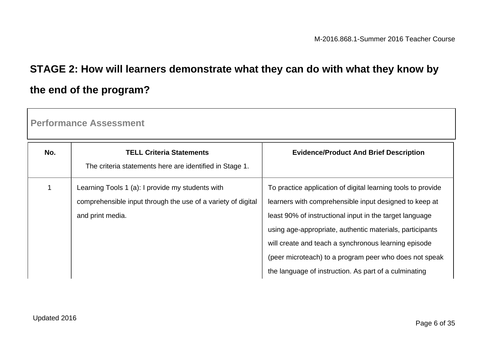# **STAGE 2: How will learners demonstrate what they can do with what they know by the end of the program?**

**Performance Assessment**

| No. | <b>TELL Criteria Statements</b><br>The criteria statements here are identified in Stage 1.                                           | <b>Evidence/Product And Brief Description</b>                                                                                                                                                                                                                                                                                                                                                                            |
|-----|--------------------------------------------------------------------------------------------------------------------------------------|--------------------------------------------------------------------------------------------------------------------------------------------------------------------------------------------------------------------------------------------------------------------------------------------------------------------------------------------------------------------------------------------------------------------------|
|     | Learning Tools 1 (a): I provide my students with<br>comprehensible input through the use of a variety of digital<br>and print media. | To practice application of digital learning tools to provide<br>learners with comprehensible input designed to keep at<br>least 90% of instructional input in the target language<br>using age-appropriate, authentic materials, participants<br>will create and teach a synchronous learning episode<br>(peer microteach) to a program peer who does not speak<br>the language of instruction. As part of a culminating |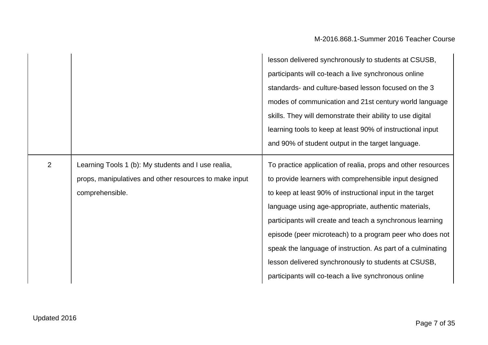|   |                                                                                                                                  | lesson delivered synchronously to students at CSUSB,<br>participants will co-teach a live synchronous online<br>standards- and culture-based lesson focused on the 3<br>modes of communication and 21st century world language<br>skills. They will demonstrate their ability to use digital<br>learning tools to keep at least 90% of instructional input<br>and 90% of student output in the target language.                                                                                                                                     |
|---|----------------------------------------------------------------------------------------------------------------------------------|-----------------------------------------------------------------------------------------------------------------------------------------------------------------------------------------------------------------------------------------------------------------------------------------------------------------------------------------------------------------------------------------------------------------------------------------------------------------------------------------------------------------------------------------------------|
| 2 | Learning Tools 1 (b): My students and I use realia,<br>props, manipulatives and other resources to make input<br>comprehensible. | To practice application of realia, props and other resources<br>to provide learners with comprehensible input designed<br>to keep at least 90% of instructional input in the target<br>language using age-appropriate, authentic materials,<br>participants will create and teach a synchronous learning<br>episode (peer microteach) to a program peer who does not<br>speak the language of instruction. As part of a culminating<br>lesson delivered synchronously to students at CSUSB,<br>participants will co-teach a live synchronous online |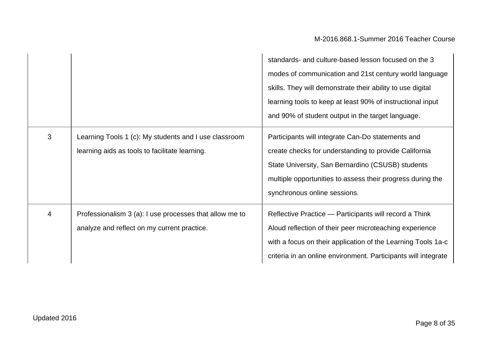$\mathcal{L}$ 

|   |                                                                                                         | standards- and culture-based lesson focused on the 3<br>modes of communication and 21st century world language<br>skills. They will demonstrate their ability to use digital<br>learning tools to keep at least 90% of instructional input<br>and 90% of student output in the target language. |
|---|---------------------------------------------------------------------------------------------------------|-------------------------------------------------------------------------------------------------------------------------------------------------------------------------------------------------------------------------------------------------------------------------------------------------|
| 3 | Learning Tools 1 (c): My students and I use classroom<br>learning aids as tools to facilitate learning. | Participants will integrate Can-Do statements and<br>create checks for understanding to provide California<br>State University, San Bernardino (CSUSB) students<br>multiple opportunities to assess their progress during the<br>synchronous online sessions.                                   |
| 4 | Professionalism 3 (a): I use processes that allow me to<br>analyze and reflect on my current practice.  | Reflective Practice - Participants will record a Think<br>Aloud reflection of their peer microteaching experience<br>with a focus on their application of the Learning Tools 1a-c<br>criteria in an online environment. Participants will integrate                                             |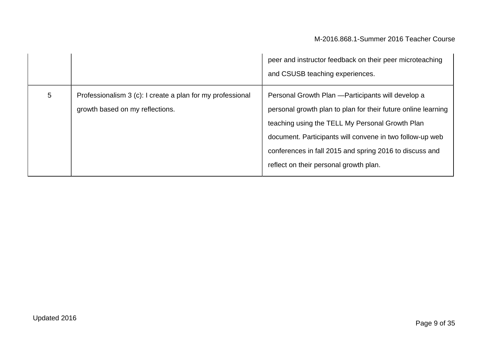|   |                                                                                               | peer and instructor feedback on their peer microteaching<br>and CSUSB teaching experiences.                                                                                                                                                                                                                                             |
|---|-----------------------------------------------------------------------------------------------|-----------------------------------------------------------------------------------------------------------------------------------------------------------------------------------------------------------------------------------------------------------------------------------------------------------------------------------------|
| 5 | Professionalism 3 (c): I create a plan for my professional<br>growth based on my reflections. | Personal Growth Plan - Participants will develop a<br>personal growth plan to plan for their future online learning<br>teaching using the TELL My Personal Growth Plan<br>document. Participants will convene in two follow-up web<br>conferences in fall 2015 and spring 2016 to discuss and<br>reflect on their personal growth plan. |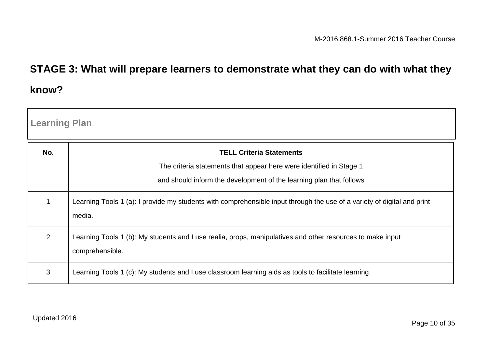## **STAGE 3: What will prepare learners to demonstrate what they can do with what they know?**

| <b>Learning Plan</b> |                                                                                                                                   |
|----------------------|-----------------------------------------------------------------------------------------------------------------------------------|
| No.                  | <b>TELL Criteria Statements</b>                                                                                                   |
|                      | The criteria statements that appear here were identified in Stage 1                                                               |
|                      | and should inform the development of the learning plan that follows                                                               |
| $\mathbf 1$          | Learning Tools 1 (a): I provide my students with comprehensible input through the use of a variety of digital and print<br>media. |
| 2                    | Learning Tools 1 (b): My students and I use realia, props, manipulatives and other resources to make input<br>comprehensible.     |
| 3                    | Learning Tools 1 (c): My students and I use classroom learning aids as tools to facilitate learning.                              |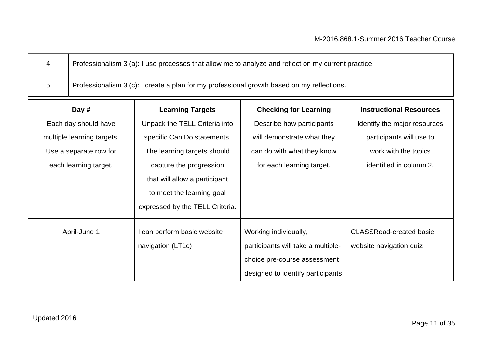| Professionalism 3 (a): I use processes that allow me to analyze and reflect on my current practice. |
|-----------------------------------------------------------------------------------------------------|
| Professionalism 3 (c): I create a plan for my professional growth based on my reflections.          |

| Day #                      | <b>Learning Targets</b>         | <b>Checking for Learning</b>       | <b>Instructional Resources</b> |
|----------------------------|---------------------------------|------------------------------------|--------------------------------|
| Each day should have       | Unpack the TELL Criteria into   | Describe how participants          | Identify the major resources   |
| multiple learning targets. | specific Can Do statements.     | will demonstrate what they         | participants will use to       |
| Use a separate row for     | The learning targets should     | can do with what they know         | work with the topics           |
| each learning target.      | capture the progression         | for each learning target.          | identified in column 2.        |
|                            | that will allow a participant   |                                    |                                |
|                            | to meet the learning goal       |                                    |                                |
|                            | expressed by the TELL Criteria. |                                    |                                |
| April-June 1               | I can perform basic website     | Working individually,              | <b>CLASSRoad-created basic</b> |
|                            | navigation (LT1c)               | participants will take a multiple- | website navigation quiz        |
|                            |                                 | choice pre-course assessment       |                                |
|                            |                                 | designed to identify participants  |                                |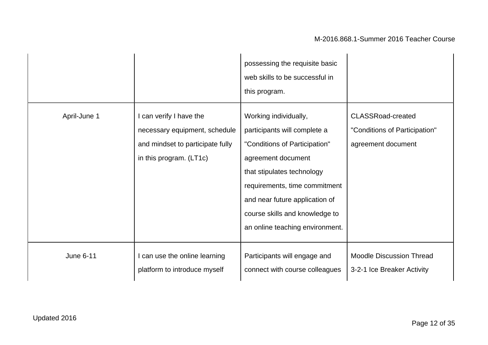|                  |                                                                                                                         | possessing the requisite basic<br>web skills to be successful in<br>this program.                                                                                                                                                                                                  |                                                                                 |
|------------------|-------------------------------------------------------------------------------------------------------------------------|------------------------------------------------------------------------------------------------------------------------------------------------------------------------------------------------------------------------------------------------------------------------------------|---------------------------------------------------------------------------------|
| April-June 1     | I can verify I have the<br>necessary equipment, schedule<br>and mindset to participate fully<br>in this program. (LT1c) | Working individually,<br>participants will complete a<br>"Conditions of Participation"<br>agreement document<br>that stipulates technology<br>requirements, time commitment<br>and near future application of<br>course skills and knowledge to<br>an online teaching environment. | <b>CLASSRoad-created</b><br>"Conditions of Participation"<br>agreement document |
| <b>June 6-11</b> | I can use the online learning<br>platform to introduce myself                                                           | Participants will engage and<br>connect with course colleagues                                                                                                                                                                                                                     | <b>Moodle Discussion Thread</b><br>3-2-1 Ice Breaker Activity                   |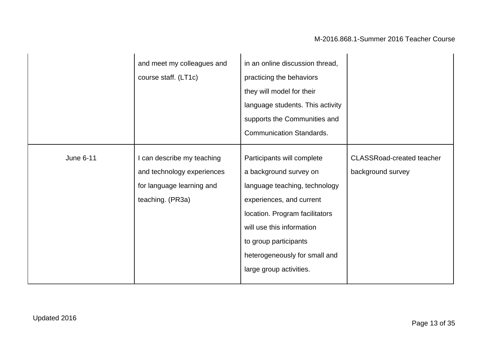|                  | and meet my colleagues and<br>course staff. (LT1c)                                                        | in an online discussion thread,<br>practicing the behaviors<br>they will model for their<br>language students. This activity<br>supports the Communities and<br><b>Communication Standards.</b>                                                                       |                                                       |
|------------------|-----------------------------------------------------------------------------------------------------------|-----------------------------------------------------------------------------------------------------------------------------------------------------------------------------------------------------------------------------------------------------------------------|-------------------------------------------------------|
| <b>June 6-11</b> | I can describe my teaching<br>and technology experiences<br>for language learning and<br>teaching. (PR3a) | Participants will complete<br>a background survey on<br>language teaching, technology<br>experiences, and current<br>location. Program facilitators<br>will use this information<br>to group participants<br>heterogeneously for small and<br>large group activities. | <b>CLASSRoad-created teacher</b><br>background survey |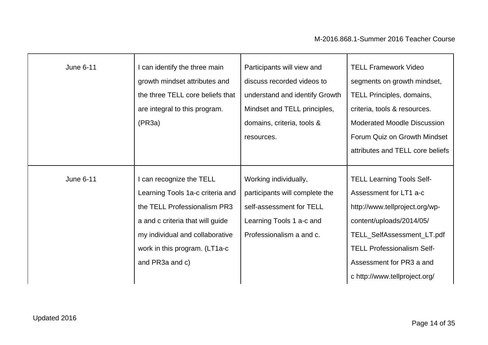| <b>June 6-11</b> | can identify the three main<br>growth mindset attributes and<br>the three TELL core beliefs that<br>are integral to this program.<br>(PR3a)                                                                            | Participants will view and<br>discuss recorded videos to<br>understand and identify Growth<br>Mindset and TELL principles,<br>domains, criteria, tools &<br>resources. | <b>TELL Framework Video</b><br>segments on growth mindset,<br>TELL Principles, domains,<br>criteria, tools & resources.<br><b>Moderated Moodle Discussion</b><br>Forum Quiz on Growth Mindset<br>attributes and TELL core beliefs                        |
|------------------|------------------------------------------------------------------------------------------------------------------------------------------------------------------------------------------------------------------------|------------------------------------------------------------------------------------------------------------------------------------------------------------------------|----------------------------------------------------------------------------------------------------------------------------------------------------------------------------------------------------------------------------------------------------------|
| <b>June 6-11</b> | can recognize the TELL<br>Learning Tools 1a-c criteria and<br>the TELL Professionalism PR3<br>a and c criteria that will guide<br>my individual and collaborative<br>work in this program. (LT1a-c)<br>and PR3a and c) | Working individually,<br>participants will complete the<br>self-assessment for TELL<br>Learning Tools 1 a-c and<br>Professionalism a and c.                            | <b>TELL Learning Tools Self-</b><br>Assessment for LT1 a-c<br>http://www.tellproject.org/wp-<br>content/uploads/2014/05/<br>TELL_SelfAssessment_LT.pdf<br><b>TELL Professionalism Self-</b><br>Assessment for PR3 a and<br>c http://www.tellproject.org/ |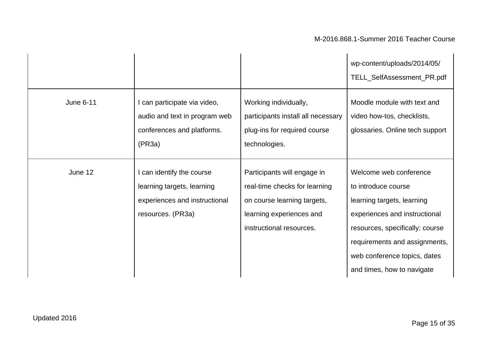|                  |                                                                                                               |                                                                                                                                                     | wp-content/uploads/2014/05/<br>TELL_SelfAssessment_PR.pdf                                                                                                                                                                                      |
|------------------|---------------------------------------------------------------------------------------------------------------|-----------------------------------------------------------------------------------------------------------------------------------------------------|------------------------------------------------------------------------------------------------------------------------------------------------------------------------------------------------------------------------------------------------|
| <b>June 6-11</b> | I can participate via video,<br>audio and text in program web<br>conferences and platforms.<br>(PR3a)         | Working individually,<br>participants install all necessary<br>plug-ins for required course<br>technologies.                                        | Moodle module with text and<br>video how-tos, checklists,<br>glossaries. Online tech support                                                                                                                                                   |
| June 12          | I can identify the course<br>learning targets, learning<br>experiences and instructional<br>resources. (PR3a) | Participants will engage in<br>real-time checks for learning<br>on course learning targets,<br>learning experiences and<br>instructional resources. | Welcome web conference<br>to introduce course<br>learning targets, learning<br>experiences and instructional<br>resources, specifically: course<br>requirements and assignments,<br>web conference topics, dates<br>and times, how to navigate |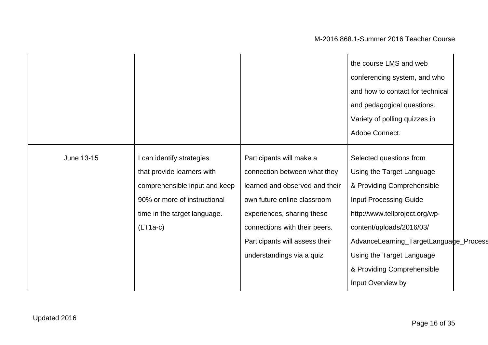|            |                               |                                | the course LMS and web                 |
|------------|-------------------------------|--------------------------------|----------------------------------------|
|            |                               |                                | conferencing system, and who           |
|            |                               |                                | and how to contact for technical       |
|            |                               |                                | and pedagogical questions.             |
|            |                               |                                | Variety of polling quizzes in          |
|            |                               |                                | Adobe Connect.                         |
|            |                               |                                |                                        |
| June 13-15 | I can identify strategies     | Participants will make a       | Selected questions from                |
|            | that provide learners with    | connection between what they   | Using the Target Language              |
|            | comprehensible input and keep | learned and observed and their | & Providing Comprehensible             |
|            | 90% or more of instructional  | own future online classroom    | <b>Input Processing Guide</b>          |
|            | time in the target language.  | experiences, sharing these     | http://www.tellproject.org/wp-         |
|            | $(LT1a-c)$                    | connections with their peers.  | content/uploads/2016/03/               |
|            |                               | Participants will assess their | AdvanceLearning_TargetLanguage_Process |
|            |                               | understandings via a quiz      | Using the Target Language              |
|            |                               |                                | & Providing Comprehensible             |
|            |                               |                                | Input Overview by                      |
|            |                               |                                |                                        |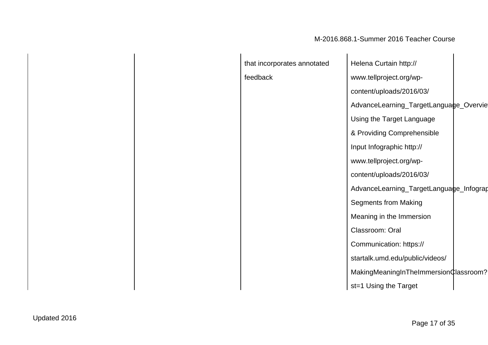| that incorporates annotated | Helena Curtain http://                  |  |
|-----------------------------|-----------------------------------------|--|
| feedback                    | www.tellproject.org/wp-                 |  |
|                             | content/uploads/2016/03/                |  |
|                             | AdvanceLearning_TargetLanguage_Overvie  |  |
|                             | Using the Target Language               |  |
|                             | & Providing Comprehensible              |  |
|                             | Input Infographic http://               |  |
|                             | www.tellproject.org/wp-                 |  |
|                             | content/uploads/2016/03/                |  |
|                             | AdvanceLearning_TargetLanguage_Infograp |  |
|                             | <b>Segments from Making</b>             |  |
|                             | Meaning in the Immersion                |  |
|                             | Classroom: Oral                         |  |
|                             | Communication: https://                 |  |
|                             | startalk.umd.edu/public/videos/         |  |
|                             | MakingMeaningInTheImmersion¢lassroom?   |  |
|                             | st=1 Using the Target                   |  |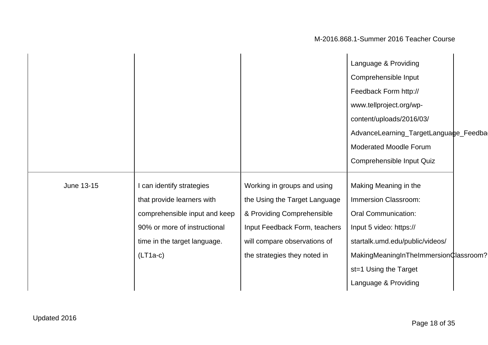|            |                               |                               | Language & Providing                  |
|------------|-------------------------------|-------------------------------|---------------------------------------|
|            |                               |                               | Comprehensible Input                  |
|            |                               |                               | Feedback Form http://                 |
|            |                               |                               | www.tellproject.org/wp-               |
|            |                               |                               | content/uploads/2016/03/              |
|            |                               |                               | AdvanceLearning_TargetLanguage_Feedba |
|            |                               |                               | <b>Moderated Moodle Forum</b>         |
|            |                               |                               | Comprehensible Input Quiz             |
|            |                               |                               |                                       |
| June 13-15 | I can identify strategies     | Working in groups and using   | Making Meaning in the                 |
|            | that provide learners with    | the Using the Target Language | Immersion Classroom:                  |
|            | comprehensible input and keep | & Providing Comprehensible    | <b>Oral Communication:</b>            |
|            | 90% or more of instructional  | Input Feedback Form, teachers | Input 5 video: https://               |
|            | time in the target language.  | will compare observations of  | startalk.umd.edu/public/videos/       |
|            | $(LT1a-c)$                    | the strategies they noted in  | MakingMeaningInTheImmersionClassroom? |
|            |                               |                               | st=1 Using the Target                 |
|            |                               |                               | Language & Providing                  |
|            |                               |                               |                                       |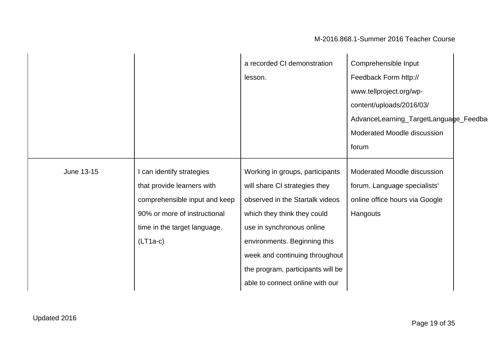|            |                               | a recorded CI demonstration       | Comprehensible Input                  |
|------------|-------------------------------|-----------------------------------|---------------------------------------|
|            |                               | lesson.                           | Feedback Form http://                 |
|            |                               |                                   | www.tellproject.org/wp-               |
|            |                               |                                   | content/uploads/2016/03/              |
|            |                               |                                   | AdvanceLearning_TargetLanguage_Feedba |
|            |                               |                                   | Moderated Moodle discussion           |
|            |                               |                                   | forum                                 |
|            |                               |                                   |                                       |
| June 13-15 | I can identify strategies     | Working in groups, participants   | Moderated Moodle discussion           |
|            | that provide learners with    | will share CI strategies they     | forum. Language specialists'          |
|            | comprehensible input and keep | observed in the Startalk videos   | online office hours via Google        |
|            | 90% or more of instructional  | which they think they could       | Hangouts                              |
|            | time in the target language.  | use in synchronous online         |                                       |
|            | $(LT1a-c)$                    | environments. Beginning this      |                                       |
|            |                               | week and continuing throughout    |                                       |
|            |                               | the program, participants will be |                                       |
|            |                               | able to connect online with our   |                                       |
|            |                               |                                   |                                       |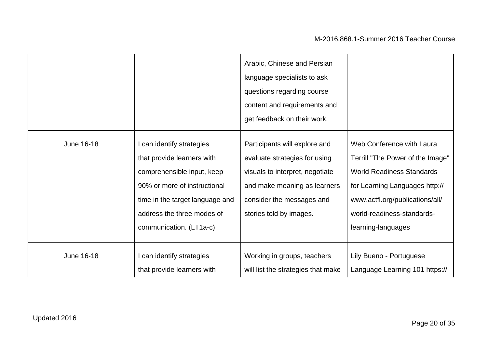|            |                                                                                                                                                                                                                   | Arabic, Chinese and Persian<br>language specialists to ask<br>questions regarding course<br>content and requirements and<br>get feedback on their work.                                   |                                                                                                                                                                                                                            |
|------------|-------------------------------------------------------------------------------------------------------------------------------------------------------------------------------------------------------------------|-------------------------------------------------------------------------------------------------------------------------------------------------------------------------------------------|----------------------------------------------------------------------------------------------------------------------------------------------------------------------------------------------------------------------------|
| June 16-18 | I can identify strategies<br>that provide learners with<br>comprehensible input, keep<br>90% or more of instructional<br>time in the target language and<br>address the three modes of<br>communication. (LT1a-c) | Participants will explore and<br>evaluate strategies for using<br>visuals to interpret, negotiate<br>and make meaning as learners<br>consider the messages and<br>stories told by images. | Web Conference with Laura<br>Terrill "The Power of the Image"<br><b>World Readiness Standards</b><br>for Learning Languages http://<br>www.actfl.org/publications/all/<br>world-readiness-standards-<br>learning-languages |
| June 16-18 | I can identify strategies<br>that provide learners with                                                                                                                                                           | Working in groups, teachers<br>will list the strategies that make                                                                                                                         | Lily Bueno - Portuguese<br>Language Learning 101 https://                                                                                                                                                                  |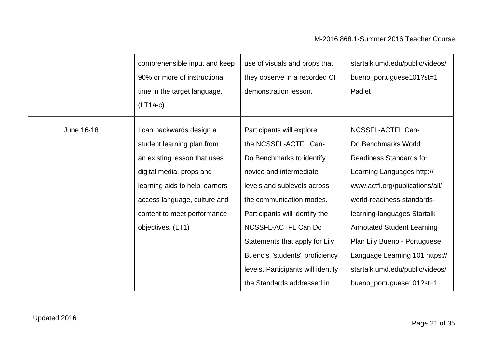|            | comprehensible input and keep<br>90% or more of instructional<br>time in the target language.<br>$(LT1a-c)$ | use of visuals and props that<br>they observe in a recorded CI<br>demonstration lesson. | startalk.umd.edu/public/videos/<br>bueno_portuguese101?st=1<br>Padlet |
|------------|-------------------------------------------------------------------------------------------------------------|-----------------------------------------------------------------------------------------|-----------------------------------------------------------------------|
|            |                                                                                                             |                                                                                         |                                                                       |
| June 16-18 | I can backwards design a                                                                                    | Participants will explore                                                               | NCSSFL-ACTFL Can-                                                     |
|            | student learning plan from                                                                                  | the NCSSFL-ACTFL Can-                                                                   | Do Benchmarks World                                                   |
|            | an existing lesson that uses                                                                                | Do Benchmarks to identify                                                               | <b>Readiness Standards for</b>                                        |
|            | digital media, props and                                                                                    | novice and intermediate                                                                 | Learning Languages http://                                            |
|            | learning aids to help learners                                                                              | levels and sublevels across                                                             | www.actfl.org/publications/all/                                       |
|            | access language, culture and                                                                                | the communication modes.                                                                | world-readiness-standards-                                            |
|            | content to meet performance                                                                                 | Participants will identify the                                                          | learning-languages Startalk                                           |
|            | objectives. (LT1)                                                                                           | NCSSFL-ACTFL Can Do                                                                     | <b>Annotated Student Learning</b>                                     |
|            |                                                                                                             | Statements that apply for Lily                                                          | Plan Lily Bueno - Portuguese                                          |
|            |                                                                                                             | Bueno's "students" proficiency                                                          | Language Learning 101 https://                                        |
|            |                                                                                                             | levels. Participants will identify                                                      | startalk.umd.edu/public/videos/                                       |
|            |                                                                                                             | the Standards addressed in                                                              | bueno_portuguese101?st=1                                              |
|            |                                                                                                             |                                                                                         |                                                                       |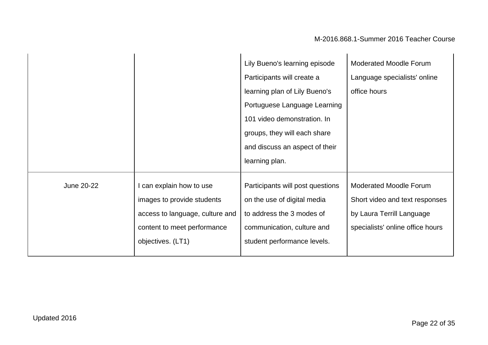|            |                                 | Lily Bueno's learning episode    | <b>Moderated Moodle Forum</b>    |
|------------|---------------------------------|----------------------------------|----------------------------------|
|            |                                 | Participants will create a       | Language specialists' online     |
|            |                                 | learning plan of Lily Bueno's    | office hours                     |
|            |                                 | Portuguese Language Learning     |                                  |
|            |                                 | 101 video demonstration. In      |                                  |
|            |                                 | groups, they will each share     |                                  |
|            |                                 | and discuss an aspect of their   |                                  |
|            |                                 | learning plan.                   |                                  |
| June 20-22 | can explain how to use          | Participants will post questions | <b>Moderated Moodle Forum</b>    |
|            | images to provide students      | on the use of digital media      | Short video and text responses   |
|            | access to language, culture and | to address the 3 modes of        | by Laura Terrill Language        |
|            | content to meet performance     | communication, culture and       | specialists' online office hours |
|            | objectives. (LT1)               | student performance levels.      |                                  |
|            |                                 |                                  |                                  |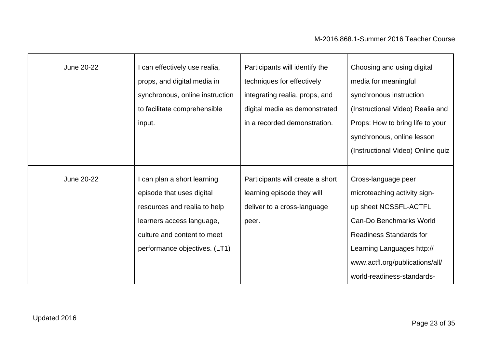| <b>June 20-22</b> | I can effectively use realia,<br>props, and digital media in<br>synchronous, online instruction<br>to facilitate comprehensible<br>input.                                             | Participants will identify the<br>techniques for effectively<br>integrating realia, props, and<br>digital media as demonstrated<br>in a recorded demonstration. | Choosing and using digital<br>media for meaningful<br>synchronous instruction<br>(Instructional Video) Realia and<br>Props: How to bring life to your<br>synchronous, online lesson<br>(Instructional Video) Online quiz                 |
|-------------------|---------------------------------------------------------------------------------------------------------------------------------------------------------------------------------------|-----------------------------------------------------------------------------------------------------------------------------------------------------------------|------------------------------------------------------------------------------------------------------------------------------------------------------------------------------------------------------------------------------------------|
| June 20-22        | I can plan a short learning<br>episode that uses digital<br>resources and realia to help<br>learners access language,<br>culture and content to meet<br>performance objectives. (LT1) | Participants will create a short<br>learning episode they will<br>deliver to a cross-language<br>peer.                                                          | Cross-language peer<br>microteaching activity sign-<br>up sheet NCSSFL-ACTFL<br>Can-Do Benchmarks World<br><b>Readiness Standards for</b><br>Learning Languages http://<br>www.actfl.org/publications/all/<br>world-readiness-standards- |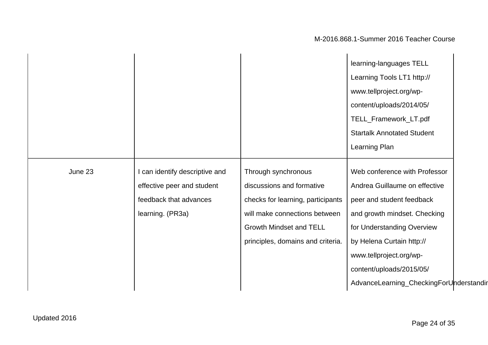|         |                                |                                   | learning-languages TELL                 |  |
|---------|--------------------------------|-----------------------------------|-----------------------------------------|--|
|         |                                |                                   | Learning Tools LT1 http://              |  |
|         |                                |                                   | www.tellproject.org/wp-                 |  |
|         |                                |                                   | content/uploads/2014/05/                |  |
|         |                                |                                   | TELL_Framework_LT.pdf                   |  |
|         |                                |                                   | <b>Startalk Annotated Student</b>       |  |
|         |                                |                                   | Learning Plan                           |  |
|         |                                |                                   |                                         |  |
| June 23 | I can identify descriptive and | Through synchronous               | Web conference with Professor           |  |
|         | effective peer and student     | discussions and formative         | Andrea Guillaume on effective           |  |
|         | feedback that advances         | checks for learning, participants | peer and student feedback               |  |
|         | learning. (PR3a)               | will make connections between     | and growth mindset. Checking            |  |
|         |                                | <b>Growth Mindset and TELL</b>    | for Understanding Overview              |  |
|         |                                | principles, domains and criteria. | by Helena Curtain http://               |  |
|         |                                |                                   | www.tellproject.org/wp-                 |  |
|         |                                |                                   | content/uploads/2015/05/                |  |
|         |                                |                                   | AdvanceLearning_CheckingForUnderstandir |  |
|         |                                |                                   |                                         |  |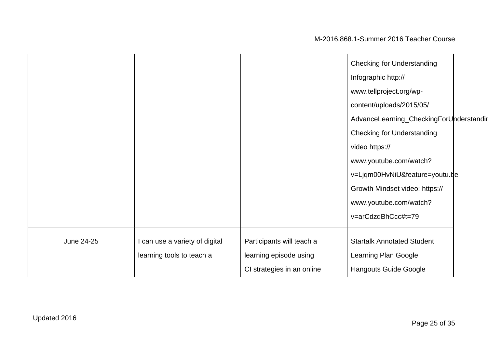|            |                                |                            | <b>Checking for Understanding</b>       |  |
|------------|--------------------------------|----------------------------|-----------------------------------------|--|
|            |                                |                            | Infographic http://                     |  |
|            |                                |                            | www.tellproject.org/wp-                 |  |
|            |                                |                            | content/uploads/2015/05/                |  |
|            |                                |                            | AdvanceLearning_CheckingForUnderstandir |  |
|            |                                |                            | <b>Checking for Understanding</b>       |  |
|            |                                |                            | video https://                          |  |
|            |                                |                            | www.youtube.com/watch?                  |  |
|            |                                |                            | v=Ljqm00HvNiU&feature=youtu.be          |  |
|            |                                |                            | Growth Mindset video: https://          |  |
|            |                                |                            | www.youtube.com/watch?                  |  |
|            |                                |                            | v=arCdzdBhCcc#t=79                      |  |
|            |                                |                            |                                         |  |
| June 24-25 | I can use a variety of digital | Participants will teach a  | <b>Startalk Annotated Student</b>       |  |
|            | learning tools to teach a      | learning episode using     | Learning Plan Google                    |  |
|            |                                | CI strategies in an online | <b>Hangouts Guide Google</b>            |  |
|            |                                |                            |                                         |  |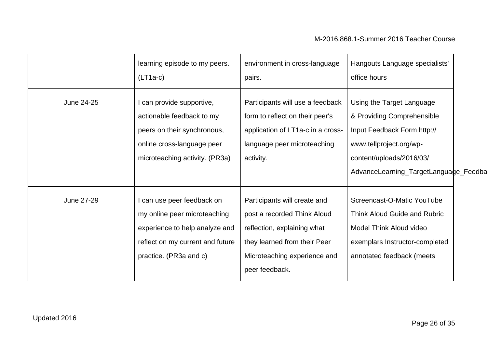|            | learning episode to my peers.<br>$(LT1a-c)$                                                                                                                | environment in cross-language<br>pairs.                                                                                                                                      | Hangouts Language specialists'<br>office hours                                                                                                                                         |
|------------|------------------------------------------------------------------------------------------------------------------------------------------------------------|------------------------------------------------------------------------------------------------------------------------------------------------------------------------------|----------------------------------------------------------------------------------------------------------------------------------------------------------------------------------------|
| June 24-25 | I can provide supportive,<br>actionable feedback to my<br>peers on their synchronous,<br>online cross-language peer<br>microteaching activity. (PR3a)      | Participants will use a feedback<br>form to reflect on their peer's<br>application of LT1a-c in a cross-<br>language peer microteaching<br>activity.                         | Using the Target Language<br>& Providing Comprehensible<br>Input Feedback Form http://<br>www.tellproject.org/wp-<br>content/uploads/2016/03/<br>AdvanceLearning_TargetLanguage_Feedba |
| June 27-29 | I can use peer feedback on<br>my online peer microteaching<br>experience to help analyze and<br>reflect on my current and future<br>practice. (PR3a and c) | Participants will create and<br>post a recorded Think Aloud<br>reflection, explaining what<br>they learned from their Peer<br>Microteaching experience and<br>peer feedback. | Screencast-O-Matic YouTube<br>Think Aloud Guide and Rubric<br>Model Think Aloud video<br>exemplars Instructor-completed<br>annotated feedback (meets                                   |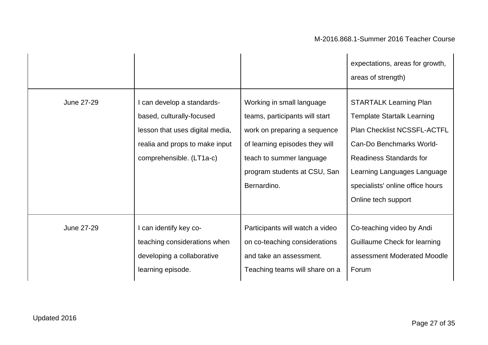|            |                                                                                                                                                          |                                                                                                                                                                                                          | expectations, areas for growth,<br>areas of strength)                                                                                                                                                                                                            |
|------------|----------------------------------------------------------------------------------------------------------------------------------------------------------|----------------------------------------------------------------------------------------------------------------------------------------------------------------------------------------------------------|------------------------------------------------------------------------------------------------------------------------------------------------------------------------------------------------------------------------------------------------------------------|
| June 27-29 | I can develop a standards-<br>based, culturally-focused<br>lesson that uses digital media,<br>realia and props to make input<br>comprehensible. (LT1a-c) | Working in small language<br>teams, participants will start<br>work on preparing a sequence<br>of learning episodes they will<br>teach to summer language<br>program students at CSU, San<br>Bernardino. | <b>STARTALK Learning Plan</b><br><b>Template Startalk Learning</b><br><b>Plan Checklist NCSSFL-ACTFL</b><br>Can-Do Benchmarks World-<br><b>Readiness Standards for</b><br>Learning Languages Language<br>specialists' online office hours<br>Online tech support |
| June 27-29 | I can identify key co-<br>teaching considerations when<br>developing a collaborative<br>learning episode.                                                | Participants will watch a video<br>on co-teaching considerations<br>and take an assessment.<br>Teaching teams will share on a                                                                            | Co-teaching video by Andi<br>Guillaume Check for learning<br>assessment Moderated Moodle<br>Forum                                                                                                                                                                |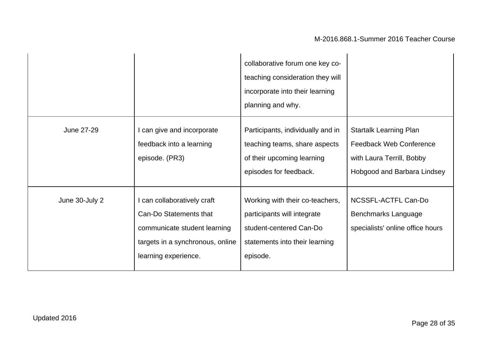|                |                                                                                                                                                   | collaborative forum one key co-<br>teaching consideration they will<br>incorporate into their learning<br>planning and why.             |                                                                                                                             |
|----------------|---------------------------------------------------------------------------------------------------------------------------------------------------|-----------------------------------------------------------------------------------------------------------------------------------------|-----------------------------------------------------------------------------------------------------------------------------|
| June 27-29     | I can give and incorporate<br>feedback into a learning<br>episode. (PR3)                                                                          | Participants, individually and in<br>teaching teams, share aspects<br>of their upcoming learning<br>episodes for feedback.              | <b>Startalk Learning Plan</b><br><b>Feedback Web Conference</b><br>with Laura Terrill, Bobby<br>Hobgood and Barbara Lindsey |
| June 30-July 2 | I can collaboratively craft<br>Can-Do Statements that<br>communicate student learning<br>targets in a synchronous, online<br>learning experience. | Working with their co-teachers,<br>participants will integrate<br>student-centered Can-Do<br>statements into their learning<br>episode. | NCSSFL-ACTFL Can-Do<br>Benchmarks Language<br>specialists' online office hours                                              |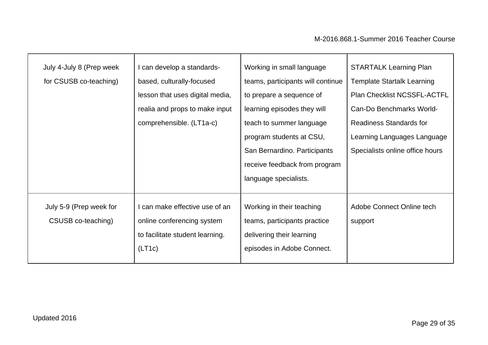| July 4-July 8 (Prep week | can develop a standards-        | Working in small language         | <b>STARTALK Learning Plan</b>      |
|--------------------------|---------------------------------|-----------------------------------|------------------------------------|
| for CSUSB co-teaching)   | based, culturally-focused       | teams, participants will continue | <b>Template Startalk Learning</b>  |
|                          | lesson that uses digital media, | to prepare a sequence of          | <b>Plan Checklist NCSSFL-ACTFL</b> |
|                          | realia and props to make input  | learning episodes they will       | Can-Do Benchmarks World-           |
|                          | comprehensible. (LT1a-c)        | teach to summer language          | <b>Readiness Standards for</b>     |
|                          |                                 | program students at CSU,          | Learning Languages Language        |
|                          |                                 | San Bernardino. Participants      | Specialists online office hours    |
|                          |                                 | receive feedback from program     |                                    |
|                          |                                 | language specialists.             |                                    |
|                          |                                 |                                   |                                    |
| July 5-9 (Prep week for  | I can make effective use of an  | Working in their teaching         | Adobe Connect Online tech          |
| CSUSB co-teaching)       | online conferencing system      | teams, participants practice      | support                            |
|                          | to facilitate student learning. | delivering their learning         |                                    |
|                          | (LT1c)                          | episodes in Adobe Connect.        |                                    |
|                          |                                 |                                   |                                    |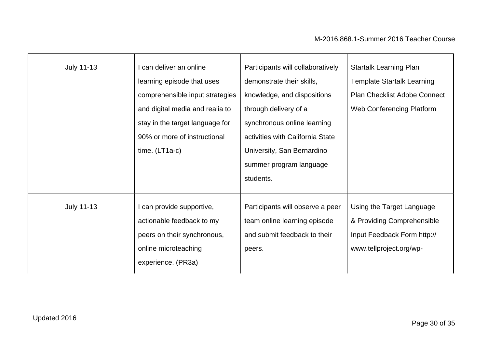| <b>July 11-13</b> | I can deliver an online<br>learning episode that uses<br>comprehensible input strategies<br>and digital media and realia to<br>stay in the target language for<br>90% or more of instructional<br>time. $(LT1a-c)$ | Participants will collaboratively<br>demonstrate their skills,<br>knowledge, and dispositions<br>through delivery of a<br>synchronous online learning<br>activities with California State<br>University, San Bernardino<br>summer program language<br>students. | <b>Startalk Learning Plan</b><br><b>Template Startalk Learning</b><br><b>Plan Checklist Adobe Connect</b><br><b>Web Conferencing Platform</b> |
|-------------------|--------------------------------------------------------------------------------------------------------------------------------------------------------------------------------------------------------------------|-----------------------------------------------------------------------------------------------------------------------------------------------------------------------------------------------------------------------------------------------------------------|-----------------------------------------------------------------------------------------------------------------------------------------------|
| <b>July 11-13</b> | I can provide supportive,<br>actionable feedback to my<br>peers on their synchronous,<br>online microteaching<br>experience. (PR3a)                                                                                | Participants will observe a peer<br>team online learning episode<br>and submit feedback to their<br>peers.                                                                                                                                                      | Using the Target Language<br>& Providing Comprehensible<br>Input Feedback Form http://<br>www.tellproject.org/wp-                             |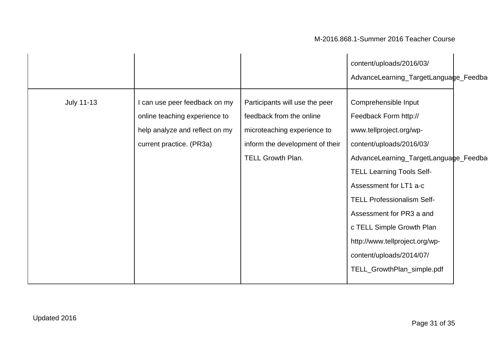|                   |                                |                                 | content/uploads/2016/03/              |
|-------------------|--------------------------------|---------------------------------|---------------------------------------|
|                   |                                |                                 | AdvanceLearning_TargetLanguage_Feedba |
| <b>July 11-13</b> | I can use peer feedback on my  | Participants will use the peer  | Comprehensible Input                  |
|                   | online teaching experience to  | feedback from the online        | Feedback Form http://                 |
|                   | help analyze and reflect on my | microteaching experience to     | www.tellproject.org/wp-               |
|                   | current practice. (PR3a)       | inform the development of their | content/uploads/2016/03/              |
|                   |                                | TELL Growth Plan.               | AdvanceLearning_TargetLanguage_Feedba |
|                   |                                |                                 | <b>TELL Learning Tools Self-</b>      |
|                   |                                |                                 | Assessment for LT1 a-c                |
|                   |                                |                                 | <b>TELL Professionalism Self-</b>     |
|                   |                                |                                 | Assessment for PR3 a and              |
|                   |                                |                                 | c TELL Simple Growth Plan             |
|                   |                                |                                 | http://www.tellproject.org/wp-        |
|                   |                                |                                 | content/uploads/2014/07/              |
|                   |                                |                                 | TELL_GrowthPlan_simple.pdf            |
|                   |                                |                                 |                                       |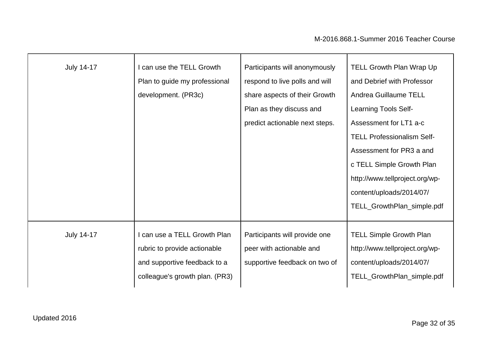| <b>July 14-17</b> | I can use the TELL Growth<br>Plan to guide my professional<br>development. (PR3c)                                              | Participants will anonymously<br>respond to live polls and will<br>share aspects of their Growth<br>Plan as they discuss and<br>predict actionable next steps. | <b>TELL Growth Plan Wrap Up</b><br>and Debrief with Professor<br>Andrea Guillaume TELL<br><b>Learning Tools Self-</b><br>Assessment for LT1 a-c<br><b>TELL Professionalism Self-</b><br>Assessment for PR3 a and<br>c TELL Simple Growth Plan<br>http://www.tellproject.org/wp-<br>content/uploads/2014/07/<br>TELL_GrowthPlan_simple.pdf |
|-------------------|--------------------------------------------------------------------------------------------------------------------------------|----------------------------------------------------------------------------------------------------------------------------------------------------------------|-------------------------------------------------------------------------------------------------------------------------------------------------------------------------------------------------------------------------------------------------------------------------------------------------------------------------------------------|
| <b>July 14-17</b> | I can use a TELL Growth Plan<br>rubric to provide actionable<br>and supportive feedback to a<br>colleague's growth plan. (PR3) | Participants will provide one<br>peer with actionable and<br>supportive feedback on two of                                                                     | <b>TELL Simple Growth Plan</b><br>http://www.tellproject.org/wp-<br>content/uploads/2014/07/<br>TELL_GrowthPlan_simple.pdf                                                                                                                                                                                                                |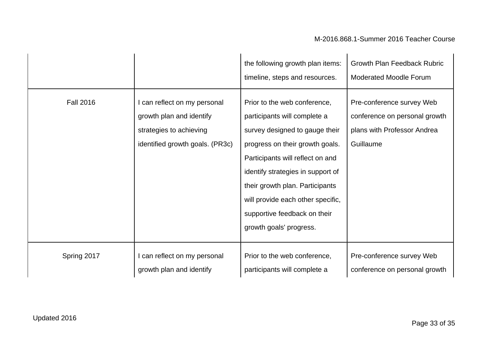|                  |                                                                                                                        | the following growth plan items:<br>timeline, steps and resources.                                                                                                                                                                                                                                                                            | <b>Growth Plan Feedback Rubric</b><br><b>Moderated Moodle Forum</b>                                    |
|------------------|------------------------------------------------------------------------------------------------------------------------|-----------------------------------------------------------------------------------------------------------------------------------------------------------------------------------------------------------------------------------------------------------------------------------------------------------------------------------------------|--------------------------------------------------------------------------------------------------------|
| <b>Fall 2016</b> | I can reflect on my personal<br>growth plan and identify<br>strategies to achieving<br>identified growth goals. (PR3c) | Prior to the web conference,<br>participants will complete a<br>survey designed to gauge their<br>progress on their growth goals.<br>Participants will reflect on and<br>identify strategies in support of<br>their growth plan. Participants<br>will provide each other specific,<br>supportive feedback on their<br>growth goals' progress. | Pre-conference survey Web<br>conference on personal growth<br>plans with Professor Andrea<br>Guillaume |
| Spring 2017      | I can reflect on my personal<br>growth plan and identify                                                               | Prior to the web conference,<br>participants will complete a                                                                                                                                                                                                                                                                                  | Pre-conference survey Web<br>conference on personal growth                                             |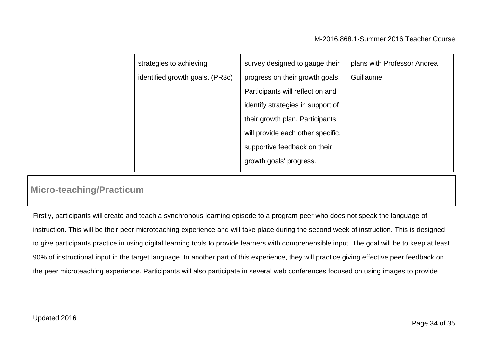| strategies to achieving         | survey designed to gauge their    | plans with Professor Andrea |
|---------------------------------|-----------------------------------|-----------------------------|
| identified growth goals. (PR3c) | progress on their growth goals.   | Guillaume                   |
|                                 | Participants will reflect on and  |                             |
|                                 | identify strategies in support of |                             |
|                                 | their growth plan. Participants   |                             |
|                                 | will provide each other specific, |                             |
|                                 | supportive feedback on their      |                             |
|                                 | growth goals' progress.           |                             |

### **Micro-teaching/Practicum**

Firstly, participants will create and teach a synchronous learning episode to a program peer who does not speak the language of instruction. This will be their peer microteaching experience and will take place during the second week of instruction. This is designed to give participants practice in using digital learning tools to provide learners with comprehensible input. The goal will be to keep at least 90% of instructional input in the target language. In another part of this experience, they will practice giving effective peer feedback on the peer microteaching experience. Participants will also participate in several web conferences focused on using images to provide